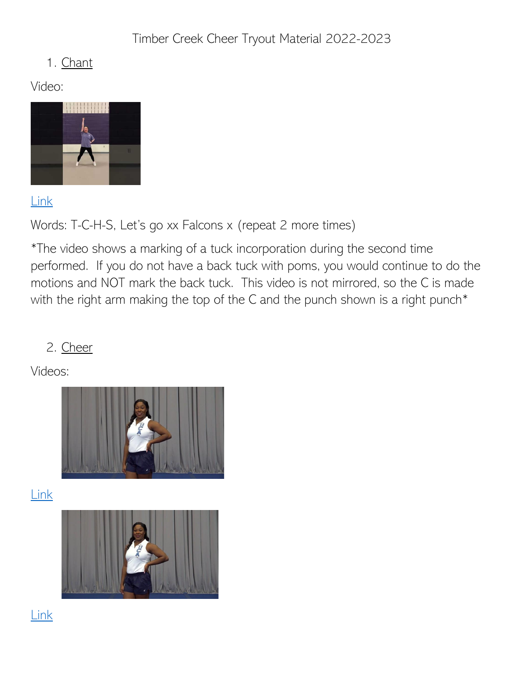Timber Creek Cheer Tryout Material 2022-2023

### 1. Chant

Video:



[Link](https://youtu.be/fnUhx3Il2Rc)

Words: T-C-H-S, Let's go xx Falcons x (repeat 2 more times)

\*The video shows a marking of a tuck incorporation during the second time performed. If you do not have a back tuck with poms, you would continue to do the motions and NOT mark the back tuck. This video is not mirrored, so the C is made with the right arm making the top of the C and the punch shown is a right punch<sup>\*</sup>

# 2. Cheer

Videos:



[Link](https://vimeo.com/649920846/902642e6d8)



[Link](https://vimeo.com/649920859/71ed701878)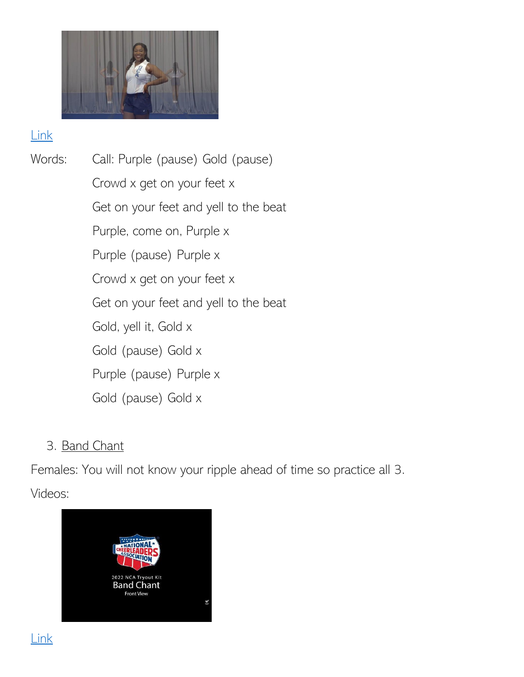

#### [Link](https://vimeo.com/649920836/63810986b5)

Words: Call: Purple (pause) Gold (pause) Crowd x get on your feet x Get on your feet and yell to the beat Purple, come on, Purple x Purple (pause) Purple x Crowd x get on your feet x Get on your feet and yell to the beat Gold, yell it, Gold x Gold (pause) Gold x Purple (pause) Purple x Gold (pause) Gold x

### 3. Band Chant

Females: You will not know your ripple ahead of time so practice all 3. Videos:



[Link](https://www.youtube.com/watch?v=K-rOndp1Ay0&list=PLBRUtYDJy3x_mYBfyPQ_6Y0u9rSNb2aVr&index=1)